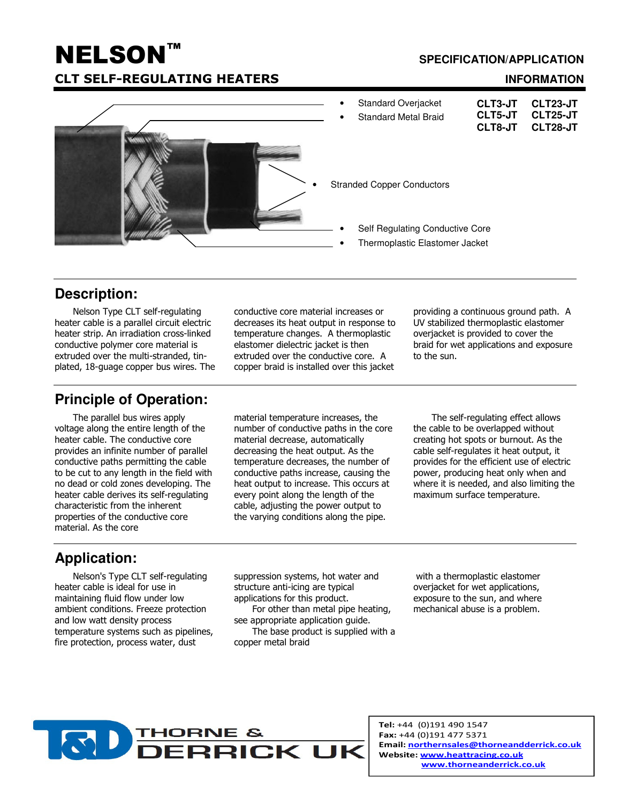# **NELSON™ CLT SELF-REGULATING**

#### **SPECIFICATION/APPLICATION**

#### **INFORMATION**



# **Description:**

Nelson Type CLT self-regulating heater cable is a parallel circuit electric heater strip. An irradiation cross-linked conductive polymer core material is extruded over the multi-stranded, tinplated, 18-guage copper bus wires. The

### **Principle of Operation:**

The parallel bus wires apply voltage along the entire length of the heater cable. The conductive core provides an infinite number of parallel conductive paths permitting the cable to be cut to any length in the field with no dead or cold zones developing. The heater cable derives its self-regulating characteristic from the inherent properties of the conductive core material. As the core

conductive core material increases or decreases its heat output in response to temperature changes. A thermoplastic elastomer dielectric jacket is then extruded over the conductive core. A copper braid is installed over this jacket

material temperature increases, the number of conductive paths in the core material decrease, automatically decreasing the heat output. As the temperature decreases, the number of conductive paths increase, causing the heat output to increase. This occurs at every point along the length of the cable, adjusting the power output to the varying conditions along the pipe.

providing a continuous ground path. A UV stabilized thermoplastic elastomer overjacket is provided to cover the braid for wet applications and exposure to the sun.

The self-regulating effect allows the cable to be overlapped without creating hot spots or burnout. As the cable self-regulates it heat output, it provides for the efficient use of electric power, producing heat only when and where it is needed, and also limiting the maximum surface temperature.

# **Application:**

Nelson's Type CLT self-regulating heater cable is ideal for use in maintaining fluid flow under low ambient conditions. Freeze protection and low watt density process temperature systems such as pipelines, fire protection, process water, dust

suppression systems, hot water and structure anti-icing are typical applications for this product.

For other than metal pipe heating, see appropriate application guide.

The base product is supplied with a copper metal braid

with a thermoplastic elastomer overjacket for wet applications, exposure to the sun, and where mechanical abuse is a problem.



Tel: +44 (0)191 490 1547 Fax: +44 (0)191 477 5371 Email: northernsales@thorneandderrick.co.uk Website: www.heattracing.co.uk www.thorneanderrick.co.uk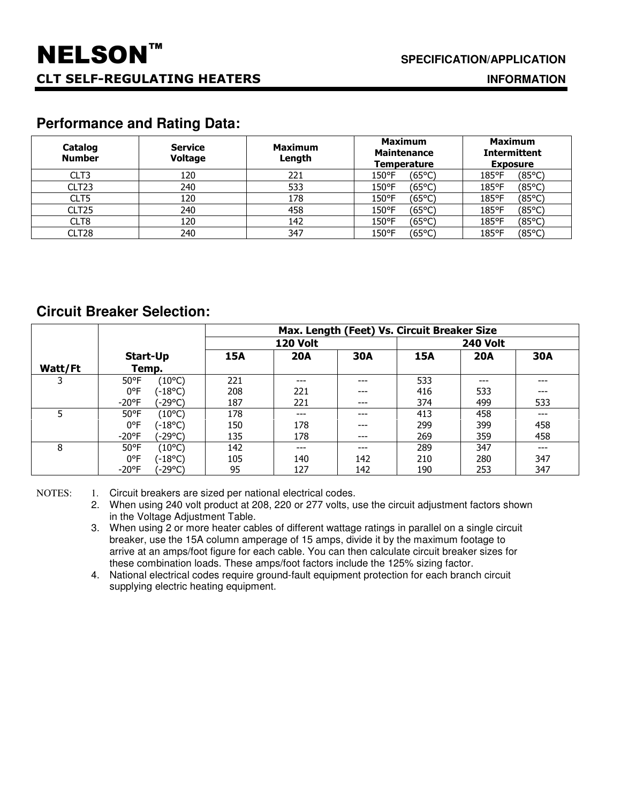**INFORMATION**

# **Performance and Rating Data:**

| Catalog<br><b>Number</b> | <b>Service</b><br><b>Voltage</b> | <b>Maximum</b><br>Length | <b>Maximum</b><br><b>Maintenance</b><br><b>Temperature</b> | <b>Maximum</b><br><b>Intermittent</b><br><b>Exposure</b> |  |
|--------------------------|----------------------------------|--------------------------|------------------------------------------------------------|----------------------------------------------------------|--|
| CLT3                     | 120                              | 221                      | (65°C)<br>150°F                                            | (85°C)<br>185°F                                          |  |
| CLT <sub>23</sub>        | 240                              | 533                      | (65°C)<br>150°F                                            | (85°C)<br>185°F                                          |  |
| CLT5                     | 120                              | 178                      | (65°C)<br>150°F                                            | (85°C)<br>185°F                                          |  |
| CLT <sub>25</sub>        | 240                              | 458                      | (65°C)<br>150°F                                            | (85°C)<br>185°F                                          |  |
| CLT8                     | 120                              | 142                      | (65°C)<br>150°F                                            | (85°C)<br>185°F                                          |  |
| CLT28                    | 240                              | 347                      | (65°C)<br>150°F                                            | (85°C)<br>185°F                                          |  |

### **Circuit Breaker Selection:**

|         |                            | Max. Length (Feet) Vs. Circuit Breaker Size |                 |            |            |                 |            |  |
|---------|----------------------------|---------------------------------------------|-----------------|------------|------------|-----------------|------------|--|
|         |                            |                                             | <b>120 Volt</b> |            |            | <b>240 Volt</b> |            |  |
|         | Start-Up                   | <b>15A</b>                                  | <b>20A</b>      | <b>30A</b> | <b>15A</b> | <b>20A</b>      | <b>30A</b> |  |
| Watt/Ft | Temp.                      |                                             |                 |            |            |                 |            |  |
|         | (10°C)<br>$50^{\circ}$ F   | 221                                         | $---$           | ---        | 533        | ---             | ---        |  |
|         | 0°F<br>(-18°C)             | 208                                         | 221             | ---        | 416        | 533             | ---        |  |
|         | (-29°C)<br>$-20^{\circ}$ F | 187                                         | 221             | ---        | 374        | 499             | 533        |  |
|         | $50^{\circ}$ F<br>(10°C)   | 178                                         | $---$           | ---        | 413        | 458             | ---        |  |
|         | (-18°C)<br>$0^{\circ}$ F   | 150                                         | 178             | ---        | 299        | 399             | 458        |  |
|         | $-20^{\circ}$ F<br>(-29°C) | 135                                         | 178             | ---        | 269        | 359             | 458        |  |
| 8       | (10°C)<br>$50^{\circ}$ F   | 142                                         | $---$           | ---        | 289        | 347             | ---        |  |
|         | 0°F<br>(-18°C)             | 105                                         | 140             | 142        | 210        | 280             | 347        |  |
|         | '-29°C)<br>$-20^{\circ}$ F | 95                                          | 127             | 142        | 190        | 253             | 347        |  |

NOTES: 1. Circuit breakers are sized per national electrical codes.

2. When using 240 volt product at 208, 220 or 277 volts, use the circuit adjustment factors shown in the Voltage Adjustment Table.

3. When using 2 or more heater cables of different wattage ratings in parallel on a single circuit breaker, use the 15A column amperage of 15 amps, divide it by the maximum footage to arrive at an amps/foot figure for each cable. You can then calculate circuit breaker sizes for these combination loads. These amps/foot factors include the 125% sizing factor.

4. National electrical codes require ground-fault equipment protection for each branch circuit supplying electric heating equipment.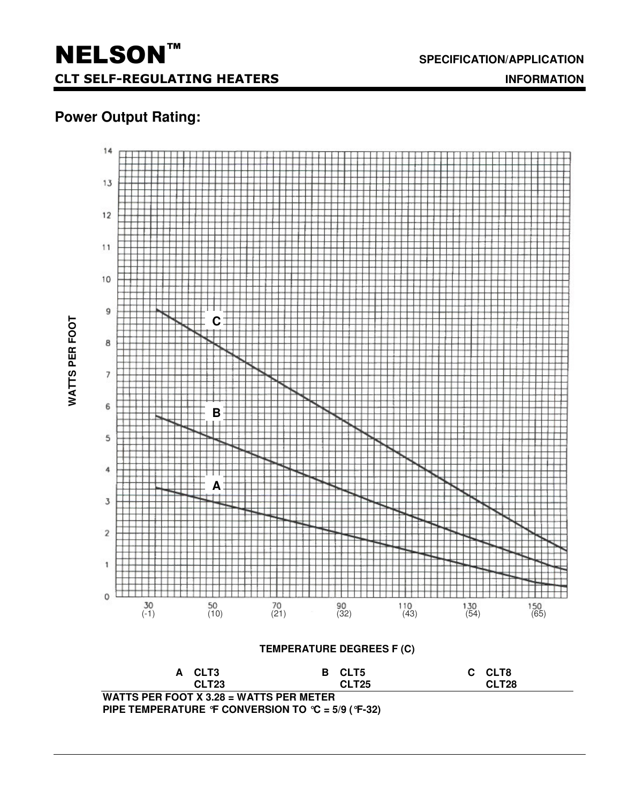# **Power Output Rating:**



**SPECIFICATION/APPLICATION**

 **INFORMATION**